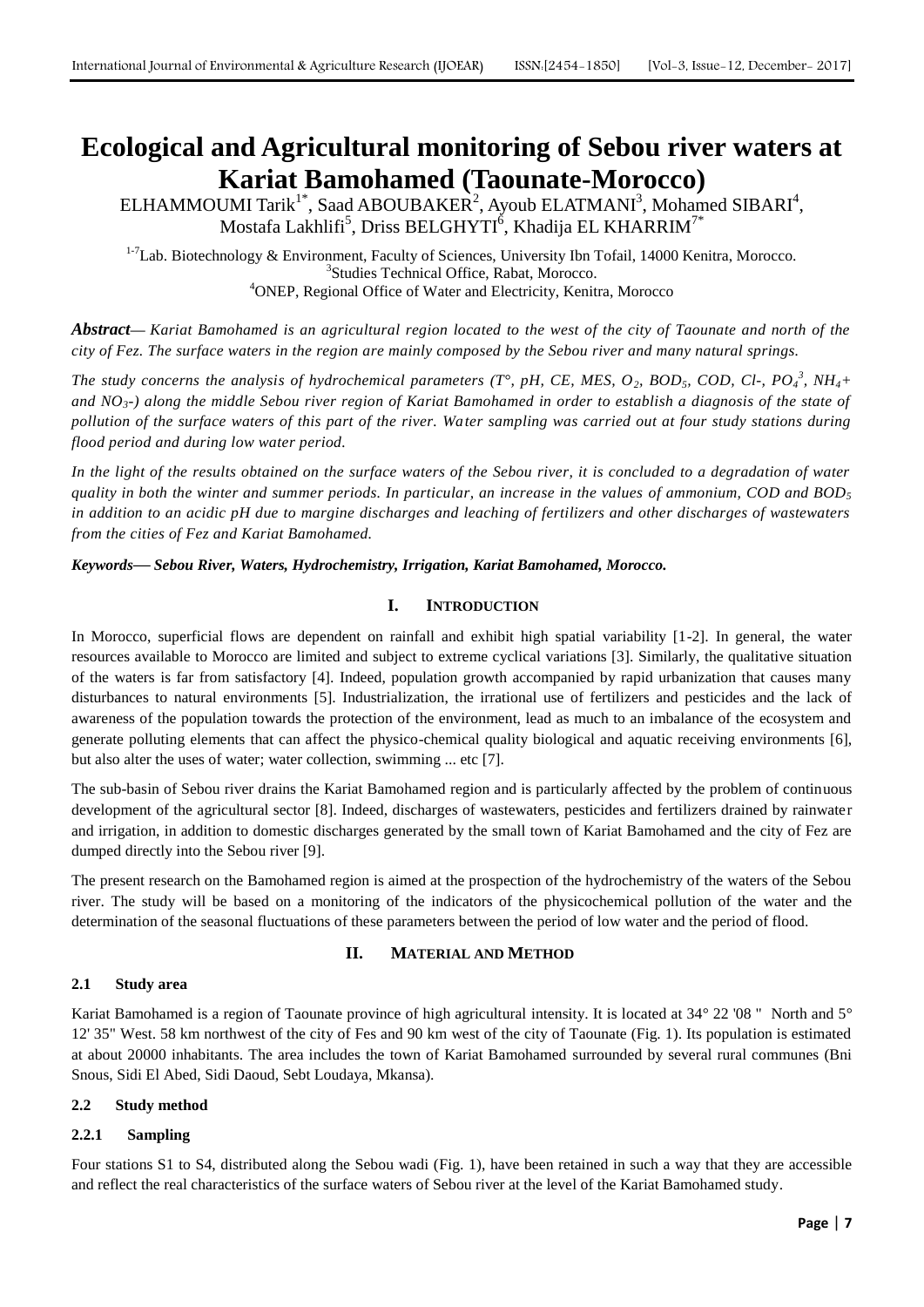# **Ecological and Agricultural monitoring of Sebou river waters at Kariat Bamohamed (Taounate-Morocco)**

 $\mathsf{ELHAMMOUNI}\ \mathsf{Tarik}^{1^*},$  Saad ABOUBAKER<sup>2</sup>, Ayoub ELATMANI<sup>3</sup>, Mohamed SIBARI<sup>4</sup>, Mostafa Lakhlifi $^5$ , Driss BELGHYTI $^6$ , Khadija EL KHARRIM $^{7^\ast}$ 

<sup>1-7</sup>Lab. Biotechnology & Environment, Faculty of Sciences, University Ibn Tofail, 14000 Kenitra, Morocco. 3 Studies Technical Office, Rabat, Morocco. <sup>4</sup>ONEP, Regional Office of Water and Electricity, Kenitra, Morocco

*Abstract***—** *Kariat Bamohamed is an agricultural region located to the west of the city of Taounate and north of the city of Fez. The surface waters in the region are mainly composed by the Sebou river and many natural springs.* 

*The study concerns the analysis of hydrochemical parameters (T°, pH, CE, MES, O<sub>2</sub>, BOD<sub>5</sub>, COD, Cl-, PO<sub>4</sub><sup>3</sup>, NH<sub>4</sub>+ and NO3-) along the middle Sebou river region of Kariat Bamohamed in order to establish a diagnosis of the state of pollution of the surface waters of this part of the river. Water sampling was carried out at four study stations during flood period and during low water period.*

*In the light of the results obtained on the surface waters of the Sebou river, it is concluded to a degradation of water quality in both the winter and summer periods. In particular, an increase in the values of ammonium, COD and BOD<sup>5</sup> in addition to an acidic pH due to margine discharges and leaching of fertilizers and other discharges of wastewaters from the cities of Fez and Kariat Bamohamed.*

*Keywords***—** *Sebou River, Waters, Hydrochemistry, Irrigation, Kariat Bamohamed, Morocco.*

## **I. INTRODUCTION**

In Morocco, superficial flows are dependent on rainfall and exhibit high spatial variability [1-2]. In general, the water resources available to Morocco are limited and subject to extreme cyclical variations [3]. Similarly, the qualitative situation of the waters is far from satisfactory [4]. Indeed, population growth accompanied by rapid urbanization that causes many disturbances to natural environments [5]. Industrialization, the irrational use of fertilizers and pesticides and the lack of awareness of the population towards the protection of the environment, lead as much to an imbalance of the ecosystem and generate polluting elements that can affect the physico-chemical quality biological and aquatic receiving environments [6], but also alter the uses of water; water collection, swimming ... etc [7].

The sub-basin of Sebou river drains the Kariat Bamohamed region and is particularly affected by the problem of continuous development of the agricultural sector [8]. Indeed, discharges of wastewaters, pesticides and fertilizers drained by rainwater and irrigation, in addition to domestic discharges generated by the small town of Kariat Bamohamed and the city of Fez are dumped directly into the Sebou river [9].

The present research on the Bamohamed region is aimed at the prospection of the hydrochemistry of the waters of the Sebou river. The study will be based on a monitoring of the indicators of the physicochemical pollution of the water and the determination of the seasonal fluctuations of these parameters between the period of low water and the period of flood.

## **II. MATERIAL AND METHOD**

## **2.1 Study area**

Kariat Bamohamed is a region of Taounate province of high agricultural intensity. It is located at 34° 22 '08 " North and 5° 12' 35" West. 58 km northwest of the city of Fes and 90 km west of the city of Taounate (Fig. 1). Its population is estimated at about 20000 inhabitants. The area includes the town of Kariat Bamohamed surrounded by several rural communes (Bni Snous, Sidi El Abed, Sidi Daoud, Sebt Loudaya, Mkansa).

## **2.2 Study method**

## **2.2.1 Sampling**

Four stations S1 to S4, distributed along the Sebou wadi (Fig. 1), have been retained in such a way that they are accessible and reflect the real characteristics of the surface waters of Sebou river at the level of the Kariat Bamohamed study.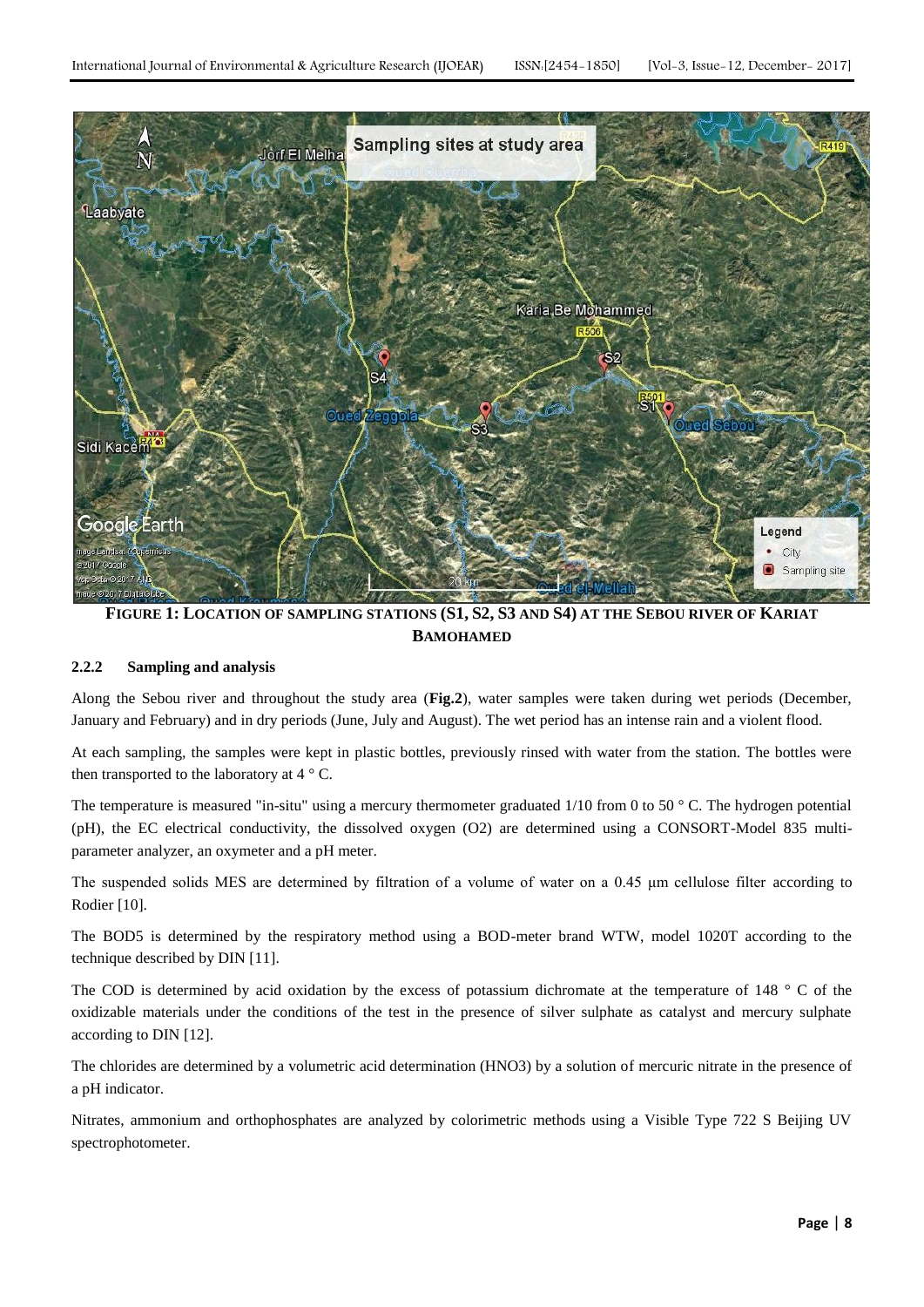

**FIGURE 1: LOCATION OF SAMPLING STATIONS (S1, S2, S3 AND S4) AT THE SEBOU RIVER OF KARIAT BAMOHAMED**

## **2.2.2 Sampling and analysis**

Along the Sebou river and throughout the study area (**Fig.2**), water samples were taken during wet periods (December, January and February) and in dry periods (June, July and August). The wet period has an intense rain and a violent flood.

At each sampling, the samples were kept in plastic bottles, previously rinsed with water from the station. The bottles were then transported to the laboratory at  $4 \degree$  C.

The temperature is measured "in-situ" using a mercury thermometer graduated  $1/10$  from 0 to 50  $\degree$  C. The hydrogen potential (pH), the EC electrical conductivity, the dissolved oxygen (O2) are determined using a CONSORT-Model 835 multiparameter analyzer, an oxymeter and a pH meter.

The suspended solids MES are determined by filtration of a volume of water on a 0.45 μm cellulose filter according to Rodier [10].

The BOD5 is determined by the respiratory method using a BOD-meter brand WTW, model 1020T according to the technique described by DIN [11].

The COD is determined by acid oxidation by the excess of potassium dichromate at the temperature of 148 ° C of the oxidizable materials under the conditions of the test in the presence of silver sulphate as catalyst and mercury sulphate according to DIN [12].

The chlorides are determined by a volumetric acid determination (HNO3) by a solution of mercuric nitrate in the presence of a pH indicator.

Nitrates, ammonium and orthophosphates are analyzed by colorimetric methods using a Visible Type 722 S Beijing UV spectrophotometer.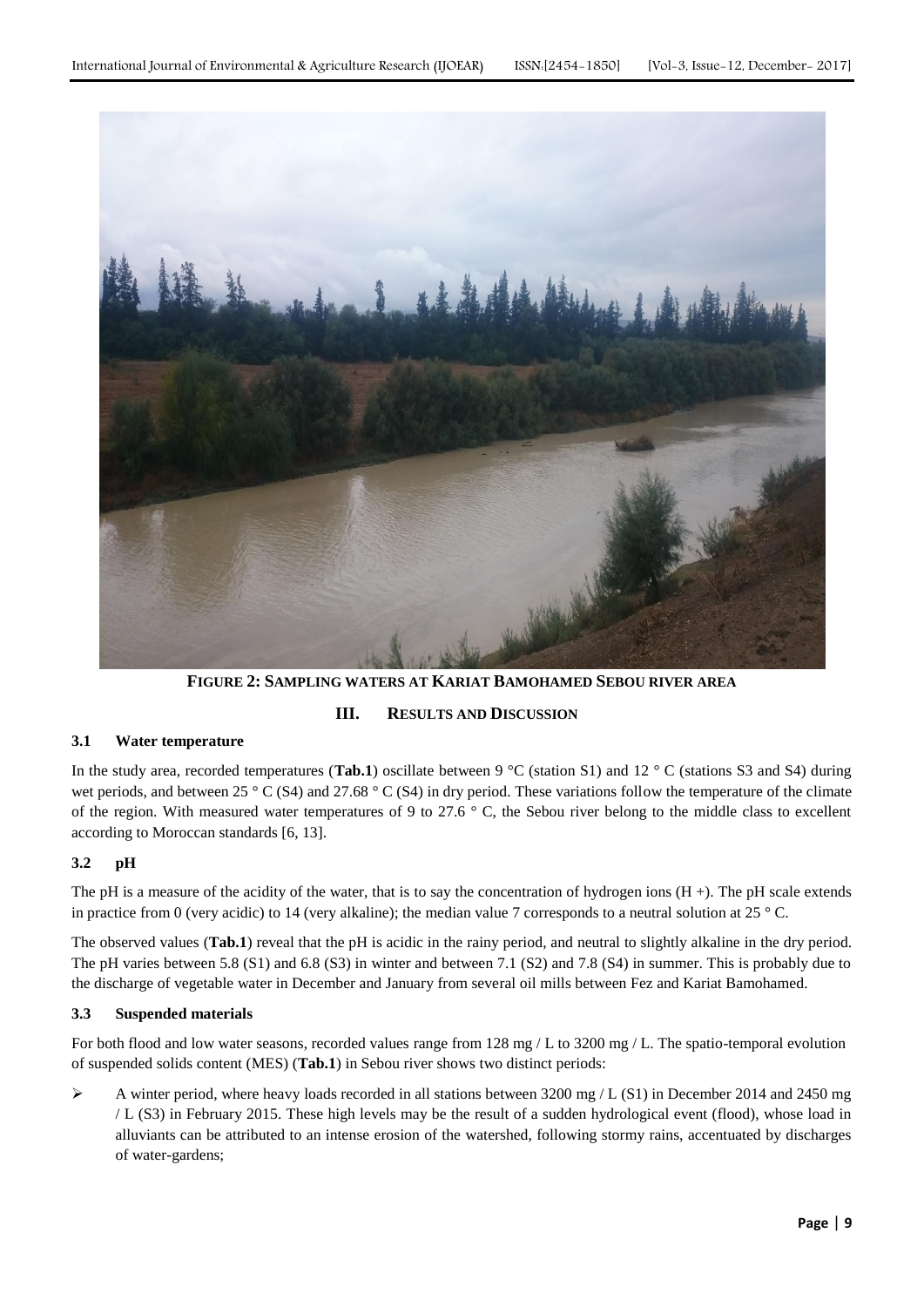

**FIGURE 2: SAMPLING WATERS AT KARIAT BAMOHAMED SEBOU RIVER AREA**

## **III. RESULTS AND DISCUSSION**

## **3.1 Water temperature**

In the study area, recorded temperatures (**Tab.1**) oscillate between 9 °C (station S1) and 12 °C (stations S3 and S4) during wet periods, and between 25 ° C (S4) and 27.68 ° C (S4) in dry period. These variations follow the temperature of the climate of the region. With measured water temperatures of 9 to 27.6  $\degree$  C, the Sebou river belong to the middle class to excellent according to Moroccan standards [6, 13].

## **3.2 pH**

The pH is a measure of the acidity of the water, that is to say the concentration of hydrogen ions  $(H +)$ . The pH scale extends in practice from 0 (very acidic) to 14 (very alkaline); the median value 7 corresponds to a neutral solution at  $25 \degree$ C.

The observed values (**Tab.1**) reveal that the pH is acidic in the rainy period, and neutral to slightly alkaline in the dry period. The pH varies between 5.8 (S1) and 6.8 (S3) in winter and between 7.1 (S2) and 7.8 (S4) in summer. This is probably due to the discharge of vegetable water in December and January from several oil mills between Fez and Kariat Bamohamed.

## **3.3 Suspended materials**

For both flood and low water seasons, recorded values range from 128 mg / L to 3200 mg / L. The spatio-temporal evolution of suspended solids content (MES) (**Tab.1**) in Sebou river shows two distinct periods:

 $\triangleright$  A winter period, where heavy loads recorded in all stations between 3200 mg / L (S1) in December 2014 and 2450 mg / L (S3) in February 2015. These high levels may be the result of a sudden hydrological event (flood), whose load in alluviants can be attributed to an intense erosion of the watershed, following stormy rains, accentuated by discharges of water-gardens;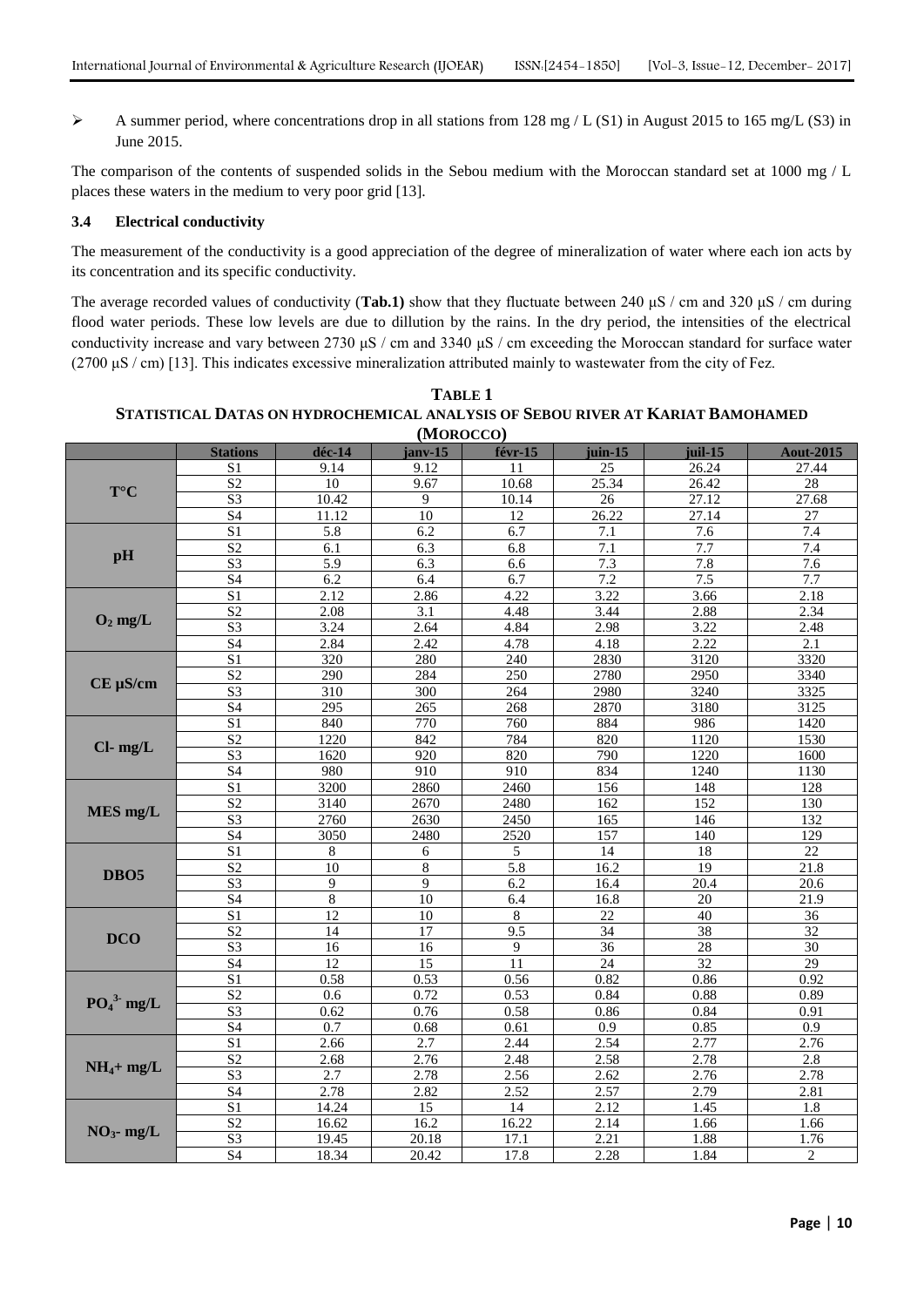A summer period, where concentrations drop in all stations from 128 mg / L (S1) in August 2015 to 165 mg/L (S3) in June 2015.

The comparison of the contents of suspended solids in the Sebou medium with the Moroccan standard set at 1000 mg / L places these waters in the medium to very poor grid [13].

## **3.4 Electrical conductivity**

The measurement of the conductivity is a good appreciation of the degree of mineralization of water where each ion acts by its concentration and its specific conductivity.

The average recorded values of conductivity (**Tab.1)** show that they fluctuate between 240 μS / cm and 320 μS / cm during flood water periods. These low levels are due to dillution by the rains. In the dry period, the intensities of the electrical conductivity increase and vary between 2730 μS / cm and 3340 μS / cm exceeding the Moroccan standard for surface water (2700 μS / cm) [13]. This indicates excessive mineralization attributed mainly to wastewater from the city of Fez.

| (MOROCCO)        |                 |                  |                    |                  |                  |                   |                   |
|------------------|-----------------|------------------|--------------------|------------------|------------------|-------------------|-------------------|
|                  | <b>Stations</b> | déc-14           | ianv-15            | févr-15          | juin-15          | iuil-15           | <b>Aout-2015</b>  |
| $T^{\circ}C$     | S <sub>1</sub>  | 9.14             | 9.12               | 11               | 25               | 26.24             | 27.44             |
|                  | $\overline{S2}$ | 10               | 9.67               | 10.68            | 25.34            | 26.42             | $\overline{28}$   |
|                  | $\overline{S3}$ | 10.42            | 9                  | 10.14            | $\overline{26}$  | 27.12             | 27.68             |
|                  | $\overline{S4}$ | 11.12            | $\overline{10}$    | $\overline{12}$  | 26.22            | 27.14             | $\overline{27}$   |
| pH               | S <sub>1</sub>  | $\overline{5.8}$ | 6.2                | 6.7              | $\overline{7.1}$ | $\overline{7.6}$  | 7.4               |
|                  | S <sub>2</sub>  | 6.1              | 6.3                | 6.8              | 7.1              | 7.7               | 7.4               |
|                  | $\overline{S3}$ | $\overline{5.9}$ | $\overline{6.3}$   | 6.6              | 7.3              | $\overline{7.8}$  | 7.6               |
|                  | S <sub>4</sub>  | 6.2              | 6.4                | 6.7              | 7.2              | 7.5               | 7.7               |
| $O_2$ mg/L       | S <sub>1</sub>  | 2.12             | 2.86               | 4.22             | 3.22             | 3.66              | 2.18              |
|                  | S <sub>2</sub>  | 2.08             | 3.1                | 4.48             | 3.44             | 2.88              | 2.34              |
|                  | S <sub>3</sub>  | 3.24             | 2.64               | 4.84             | 2.98             | 3.22              | 2.48              |
|                  | S <sub>4</sub>  | 2.84             | 2.42               | 4.78             | 4.18             | 2.22              | 2.1               |
| $CE \mu S/cm$    | $\overline{S1}$ | 320              | 280                | 240              | 2830             | $31\overline{20}$ | 3320              |
|                  | $\overline{S2}$ | 290              | 284                | 250              | 2780             | 2950              | 3340              |
|                  | $\overline{S3}$ | $\overline{310}$ | $\overline{300}$   | 264              | 2980             | 3240              | 3325              |
|                  | S <sub>4</sub>  | $\overline{295}$ | 265                | 268              | 2870             | 3180              | 3125              |
| $Cl-$ mg/L       | $\overline{S1}$ | 840              | 770                | 760              | 884              | 986               | 1420              |
|                  | S <sub>2</sub>  | 1220             | 842                | 784              | 820              | 1120              | 1530              |
|                  | $\overline{S3}$ | 1620             | $\overline{920}$   | 820              | 790              | 1220              | 1600              |
|                  | S <sub>4</sub>  | 980              | 910                | 910              | 834              | 1240              | 1130              |
| MES mg/L         | S <sub>1</sub>  | 3200             | 2860               | 2460             | 156              | 148               | 128               |
|                  | S <sub>2</sub>  | 3140             | 2670               | 2480             | 162              | 152               | 130               |
|                  | $\overline{S3}$ | 2760             | 2630               | 2450             | 165              | 146               | 132               |
|                  | S4              | 3050             | 2480               | 2520             | 157              | 140               | 129               |
| DBO <sub>5</sub> | S <sub>1</sub>  | $8\,$            | 6                  | 5                | 14               | 18                | $\overline{22}$   |
|                  | $\overline{S2}$ | $\overline{10}$  | $\overline{\bf 8}$ | $\overline{5.8}$ | 16.2             | $\overline{19}$   | 21.8              |
|                  | S <sub>3</sub>  | 9                | 9                  | 6.2              | 16.4             | $\overline{20.4}$ | $\overline{20.6}$ |
|                  | $\overline{S4}$ | 8                | 10                 | 6.4              | 16.8             | $\overline{20}$   | 21.9              |
| <b>DCO</b>       | S <sub>1</sub>  | 12               | 10                 | 8                | 22               | 40                | $\overline{36}$   |
|                  | S <sub>2</sub>  | 14               | 17                 | 9.5              | 34               | 38                | 32                |
|                  | S <sub>3</sub>  | $\overline{16}$  | 16                 | 9                | $\overline{36}$  | $\overline{28}$   | 30                |
|                  | $\overline{S4}$ | 12               | $\overline{15}$    | 11               | $\overline{24}$  | $\overline{32}$   | 29                |
| $PO43$ mg/L      | S1              | 0.58             | 0.53               | 0.56             | 0.82             | 0.86              | 0.92              |
|                  | $\overline{S2}$ | 0.6              | 0.72               | 0.53             | 0.84             | 0.88              | 0.89              |
|                  | $\overline{S3}$ | 0.62             | 0.76               | 0.58             | 0.86             | 0.84              | 0.91              |
|                  | S4              | 0.7              | 0.68               | 0.61             | 0.9              | 0.85              | 0.9               |
| $NH_4+mg/L$      | S <sub>1</sub>  | 2.66             | 2.7                | 2.44             | 2.54             | 2.77              | 2.76              |
|                  | S <sub>2</sub>  | 2.68             | 2.76               | 2.48             | 2.58             | 2.78              | 2.8               |
|                  | S <sub>3</sub>  | 2.7              | 2.78               | 2.56             | 2.62             | 2.76              | 2.78              |
|                  | S4              | 2.78             | 2.82               | 2.52             | 2.57             | 2.79              | 2.81              |
| $NO3$ - mg/L     | S <sub>1</sub>  | 14.24            | 15                 | 14               | 2.12             | 1.45              | 1.8               |
|                  | $\overline{S2}$ | 16.62            | 16.2               | 16.22            | 2.14             | 1.66              | 1.66              |
|                  | $\overline{S3}$ | 19.45            | 20.18              | 17.1             | 2.21             | 1.88              | 1.76              |
|                  | S4              | 18.34            | 20.42              | 17.8             | 2.28             | 1.84              | $\overline{c}$    |

**TABLE 1 STATISTICAL DATAS ON HYDROCHEMICAL ANALYSIS OF SEBOU RIVER AT KARIAT BAMOHAMED**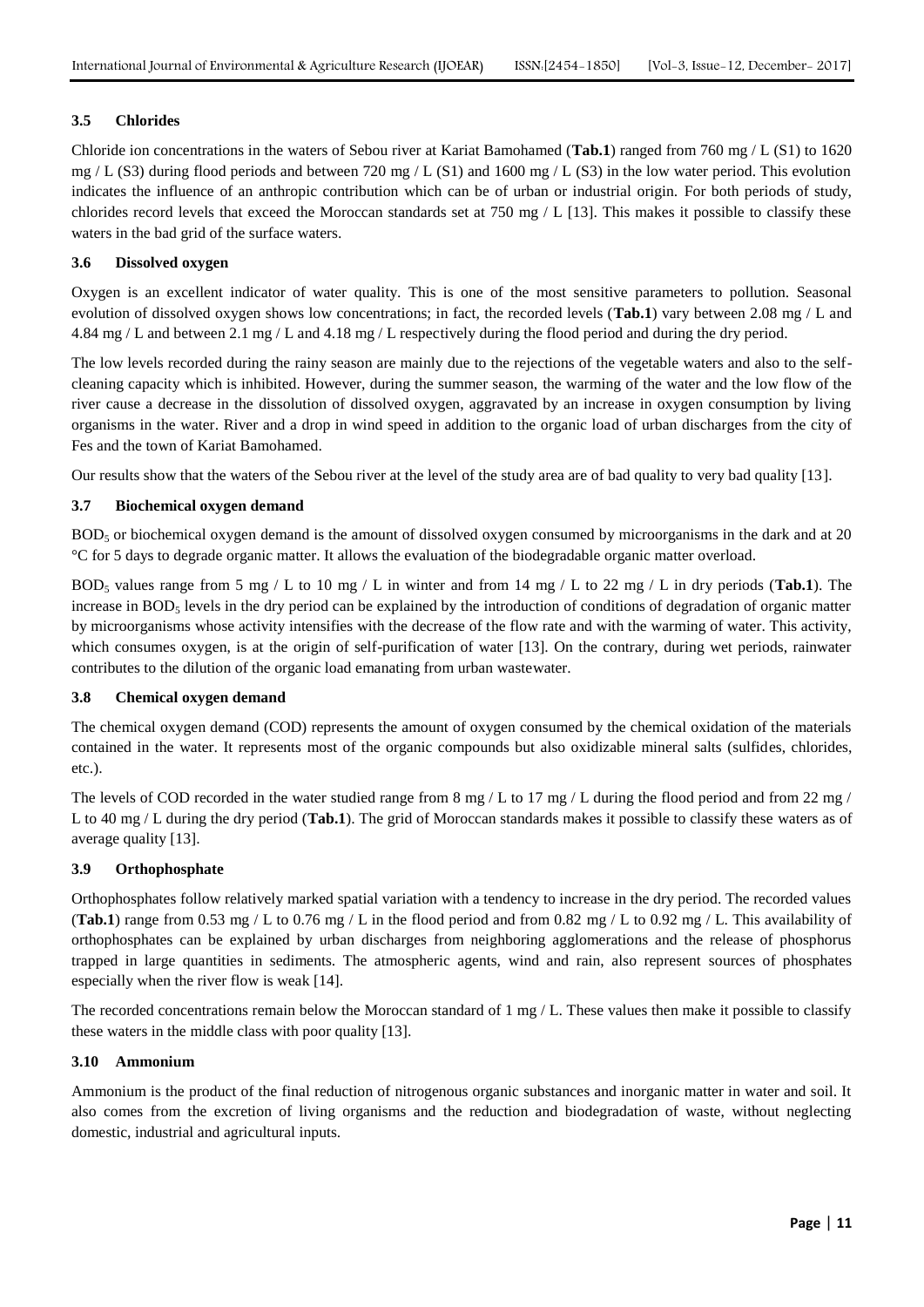## **3.5 Chlorides**

Chloride ion concentrations in the waters of Sebou river at Kariat Bamohamed (**Tab.1**) ranged from 760 mg / L (S1) to 1620 mg / L (S3) during flood periods and between 720 mg / L (S1) and 1600 mg / L (S3) in the low water period. This evolution indicates the influence of an anthropic contribution which can be of urban or industrial origin. For both periods of study, chlorides record levels that exceed the Moroccan standards set at 750 mg / L [13]. This makes it possible to classify these waters in the bad grid of the surface waters.

## **3.6 Dissolved oxygen**

Oxygen is an excellent indicator of water quality. This is one of the most sensitive parameters to pollution. Seasonal evolution of dissolved oxygen shows low concentrations; in fact, the recorded levels (**Tab.1**) vary between 2.08 mg / L and 4.84 mg / L and between 2.1 mg / L and 4.18 mg / L respectively during the flood period and during the dry period.

The low levels recorded during the rainy season are mainly due to the rejections of the vegetable waters and also to the selfcleaning capacity which is inhibited. However, during the summer season, the warming of the water and the low flow of the river cause a decrease in the dissolution of dissolved oxygen, aggravated by an increase in oxygen consumption by living organisms in the water. River and a drop in wind speed in addition to the organic load of urban discharges from the city of Fes and the town of Kariat Bamohamed.

Our results show that the waters of the Sebou river at the level of the study area are of bad quality to very bad quality [13].

## **3.7 Biochemical oxygen demand**

BOD<sup>5</sup> or biochemical oxygen demand is the amount of dissolved oxygen consumed by microorganisms in the dark and at 20 °C for 5 days to degrade organic matter. It allows the evaluation of the biodegradable organic matter overload.

BOD<sub>5</sub> values range from 5 mg / L to 10 mg / L in winter and from 14 mg / L to 22 mg / L in dry periods (**Tab.1**). The increase in  $BOD<sub>5</sub>$  levels in the dry period can be explained by the introduction of conditions of degradation of organic matter by microorganisms whose activity intensifies with the decrease of the flow rate and with the warming of water. This activity, which consumes oxygen, is at the origin of self-purification of water [13]. On the contrary, during wet periods, rainwater contributes to the dilution of the organic load emanating from urban wastewater.

## **3.8 Chemical oxygen demand**

The chemical oxygen demand (COD) represents the amount of oxygen consumed by the chemical oxidation of the materials contained in the water. It represents most of the organic compounds but also oxidizable mineral salts (sulfides, chlorides, etc.).

The levels of COD recorded in the water studied range from 8 mg / L to 17 mg / L during the flood period and from 22 mg / L to 40 mg / L during the dry period (**Tab.1**). The grid of Moroccan standards makes it possible to classify these waters as of average quality [13].

## **3.9 Orthophosphate**

Orthophosphates follow relatively marked spatial variation with a tendency to increase in the dry period. The recorded values **(Tab.1)** range from 0.53 mg / L to 0.76 mg / L in the flood period and from 0.82 mg / L to 0.92 mg / L. This availability of orthophosphates can be explained by urban discharges from neighboring agglomerations and the release of phosphorus trapped in large quantities in sediments. The atmospheric agents, wind and rain, also represent sources of phosphates especially when the river flow is weak [14].

The recorded concentrations remain below the Moroccan standard of  $1 \text{ mg } / L$ . These values then make it possible to classify these waters in the middle class with poor quality [13].

## **3.10 Ammonium**

Ammonium is the product of the final reduction of nitrogenous organic substances and inorganic matter in water and soil. It also comes from the excretion of living organisms and the reduction and biodegradation of waste, without neglecting domestic, industrial and agricultural inputs.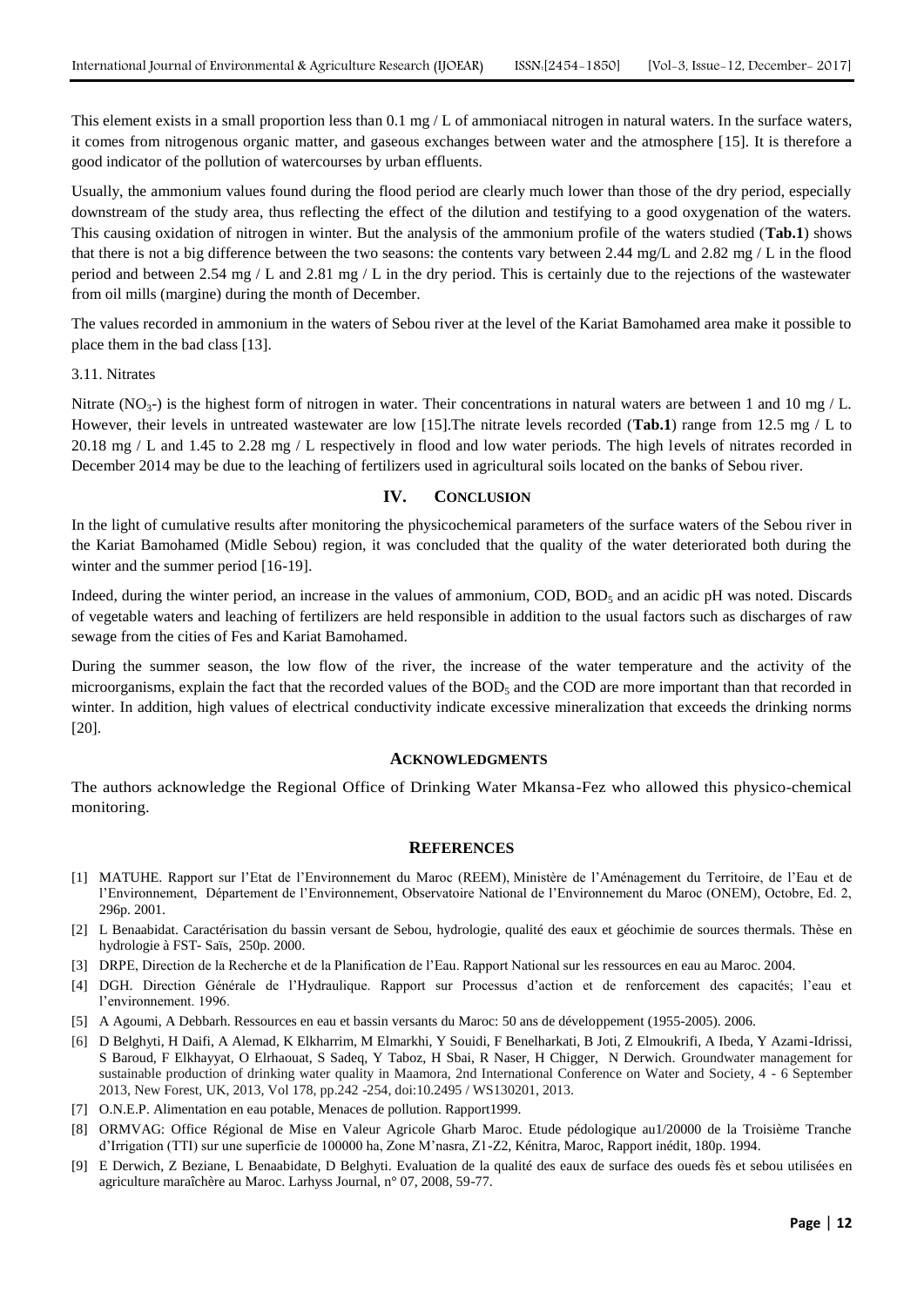This element exists in a small proportion less than 0.1 mg  $/L$  of ammoniacal nitrogen in natural waters. In the surface waters, it comes from nitrogenous organic matter, and gaseous exchanges between water and the atmosphere [15]. It is therefore a good indicator of the pollution of watercourses by urban effluents.

Usually, the ammonium values found during the flood period are clearly much lower than those of the dry period, especially downstream of the study area, thus reflecting the effect of the dilution and testifying to a good oxygenation of the waters. This causing oxidation of nitrogen in winter. But the analysis of the ammonium profile of the waters studied (**Tab.1**) shows that there is not a big difference between the two seasons: the contents vary between 2.44 mg/L and 2.82 mg / L in the flood period and between 2.54 mg / L and 2.81 mg / L in the dry period. This is certainly due to the rejections of the wastewater from oil mills (margine) during the month of December.

The values recorded in ammonium in the waters of Sebou river at the level of the Kariat Bamohamed area make it possible to place them in the bad class [13].

## 3.11. Nitrates

Nitrate (NO<sub>3</sub>-) is the highest form of nitrogen in water. Their concentrations in natural waters are between 1 and 10 mg / L. However, their levels in untreated wastewater are low [15].The nitrate levels recorded (**Tab.1**) range from 12.5 mg / L to 20.18 mg / L and 1.45 to 2.28 mg / L respectively in flood and low water periods. The high levels of nitrates recorded in December 2014 may be due to the leaching of fertilizers used in agricultural soils located on the banks of Sebou river.

## **IV. CONCLUSION**

In the light of cumulative results after monitoring the physicochemical parameters of the surface waters of the Sebou river in the Kariat Bamohamed (Midle Sebou) region, it was concluded that the quality of the water deteriorated both during the winter and the summer period [16-19].

Indeed, during the winter period, an increase in the values of ammonium,  $\text{COD}, \text{BOD}_5$  and an acidic pH was noted. Discards of vegetable waters and leaching of fertilizers are held responsible in addition to the usual factors such as discharges of raw sewage from the cities of Fes and Kariat Bamohamed.

During the summer season, the low flow of the river, the increase of the water temperature and the activity of the microorganisms, explain the fact that the recorded values of the  $BOD<sub>5</sub>$  and the COD are more important than that recorded in winter. In addition, high values of electrical conductivity indicate excessive mineralization that exceeds the drinking norms [20].

## **ACKNOWLEDGMENTS**

The authors acknowledge the Regional Office of Drinking Water Mkansa-Fez who allowed this physico-chemical monitoring.

#### **REFERENCES**

- [1] MATUHE. Rapport sur l'Etat de l'Environnement du Maroc (REEM), Ministère de l'Aménagement du Territoire, de l'Eau et de l'Environnement, Département de l'Environnement, Observatoire National de l'Environnement du Maroc (ONEM), Octobre, Ed. 2, 296p. 2001.
- [2] L Benaabidat. Caractérisation du bassin versant de Sebou, hydrologie, qualité des eaux et géochimie de sources thermals. Thèse en hydrologie à FST- Saïs, 250p. 2000.
- [3] DRPE, Direction de la Recherche et de la Planification de l'Eau. Rapport National sur les ressources en eau au Maroc. 2004.
- [4] DGH. Direction Générale de l'Hydraulique. Rapport sur Processus d'action et de renforcement des capacités; l'eau et l'environnement. 1996.
- [5] A Agoumi, A Debbarh. Ressources en eau et bassin versants du Maroc: 50 ans de développement (1955-2005). 2006.
- [6] D Belghyti, H Daifi, A Alemad, K Elkharrim, M Elmarkhi, Y Souidi, F Benelharkati, B Joti, Z Elmoukrifi, A Ibeda, Y Azami-Idrissi, S Baroud, F Elkhayyat, O Elrhaouat, S Sadeq, Y Taboz, H Sbai, R Naser, H Chigger, N Derwich. Groundwater management for sustainable production of drinking water quality in Maamora, 2nd International Conference on Water and Society, 4 - 6 September 2013, New Forest, UK, 2013, Vol 178, pp.242 -254, doi:10.2495 / WS130201, 2013.
- [7] O.N.E.P. Alimentation en eau potable, Menaces de pollution. Rapport1999.
- [8] ORMVAG: Office Régional de Mise en Valeur Agricole Gharb Maroc. Etude pédologique au1/20000 de la Troisième Tranche d'Irrigation (TTI) sur une superficie de 100000 ha, Zone M'nasra, Z1-Z2, Kénitra, Maroc, Rapport inédit, 180p. 1994.
- [9] E Derwich, Z Beziane, L Benaabidate, D Belghyti. Evaluation de la qualité des eaux de surface des oueds fès et sebou utilisées en agriculture maraîchère au Maroc. Larhyss Journal, n° 07, 2008, 59-77.